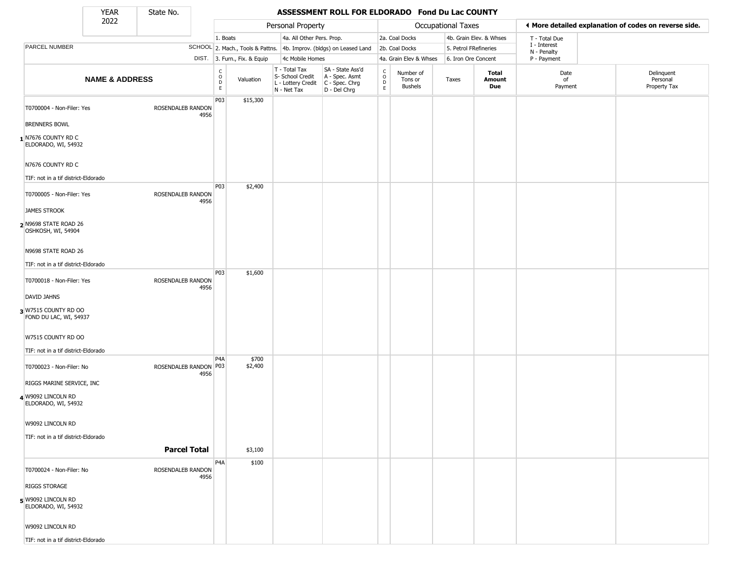State No.

Г

### YEAR **ASSESSMENT ROLL FOR ELDORADO Fond Du Lac COUNTY**

|                                                | 2022                      |                       |      |                                                   |                              | Personal Property                                                      |                                                                      | Occupational Taxes                         |                                               | ♦ More detailed explanation of codes on reverse side. |                         |                             |                                        |
|------------------------------------------------|---------------------------|-----------------------|------|---------------------------------------------------|------------------------------|------------------------------------------------------------------------|----------------------------------------------------------------------|--------------------------------------------|-----------------------------------------------|-------------------------------------------------------|-------------------------|-----------------------------|----------------------------------------|
|                                                |                           |                       |      | 1. Boats                                          |                              | 4a. All Other Pers. Prop.                                              |                                                                      |                                            | 2a. Coal Docks                                |                                                       | 4b. Grain Elev. & Whses | T - Total Due               |                                        |
| PARCEL NUMBER                                  |                           |                       |      |                                                   |                              |                                                                        | SCHOOL 2. Mach., Tools & Pattns. 4b. Improv. (bldgs) on Leased Land  |                                            | 2b. Coal Docks                                | 5. Petrol FRefineries                                 |                         | I - Interest<br>N - Penalty |                                        |
|                                                |                           |                       |      |                                                   | DIST. 3. Furn., Fix. & Equip |                                                                        | 4c Mobile Homes                                                      |                                            | 4a. Grain Elev & Whses<br>6. Iron Ore Concent |                                                       |                         | P - Payment                 |                                        |
|                                                | <b>NAME &amp; ADDRESS</b> |                       |      | C<br>$\begin{array}{c}\n0 \\ 0 \\ E\n\end{array}$ | Valuation                    | T - Total Tax<br>S- School Credit<br>L - Lottery Credit<br>N - Net Tax | SA - State Ass'd<br>A - Spec. Asmt<br>C - Spec. Chrg<br>D - Del Chrg | $\begin{array}{c} C \\ O \\ E \end{array}$ | Number of<br>Tons or<br><b>Bushels</b>        | Taxes                                                 | Total<br>Amount<br>Due  | Date<br>of<br>Payment       | Delinquent<br>Personal<br>Property Tax |
| T0700004 - Non-Filer: Yes                      |                           | ROSENDALEB RANDON     |      | P <sub>0</sub> 3                                  | \$15,300                     |                                                                        |                                                                      |                                            |                                               |                                                       |                         |                             |                                        |
| <b>BRENNERS BOWL</b>                           |                           |                       | 4956 |                                                   |                              |                                                                        |                                                                      |                                            |                                               |                                                       |                         |                             |                                        |
| N7676 COUNTY RD C<br>ELDORADO, WI, 54932       |                           |                       |      |                                                   |                              |                                                                        |                                                                      |                                            |                                               |                                                       |                         |                             |                                        |
| N7676 COUNTY RD C                              |                           |                       |      |                                                   |                              |                                                                        |                                                                      |                                            |                                               |                                                       |                         |                             |                                        |
| TIF: not in a tif district-Eldorado            |                           |                       |      |                                                   |                              |                                                                        |                                                                      |                                            |                                               |                                                       |                         |                             |                                        |
| T0700005 - Non-Filer: Yes                      |                           | ROSENDALEB RANDON     | 4956 | P03                                               | \$2,400                      |                                                                        |                                                                      |                                            |                                               |                                                       |                         |                             |                                        |
| <b>JAMES STROOK</b>                            |                           |                       |      |                                                   |                              |                                                                        |                                                                      |                                            |                                               |                                                       |                         |                             |                                        |
| N9698 STATE ROAD 26<br>OSHKOSH, WI, 54904      |                           |                       |      |                                                   |                              |                                                                        |                                                                      |                                            |                                               |                                                       |                         |                             |                                        |
| N9698 STATE ROAD 26                            |                           |                       |      |                                                   |                              |                                                                        |                                                                      |                                            |                                               |                                                       |                         |                             |                                        |
| TIF: not in a tif district-Eldorado            |                           |                       |      |                                                   |                              |                                                                        |                                                                      |                                            |                                               |                                                       |                         |                             |                                        |
| T0700018 - Non-Filer: Yes                      |                           | ROSENDALEB RANDON     | 4956 | P03                                               | \$1,600                      |                                                                        |                                                                      |                                            |                                               |                                                       |                         |                             |                                        |
| DAVID JAHNS                                    |                           |                       |      |                                                   |                              |                                                                        |                                                                      |                                            |                                               |                                                       |                         |                             |                                        |
| 3 W7515 COUNTY RD OO<br>FOND DU LAC, WI, 54937 |                           |                       |      |                                                   |                              |                                                                        |                                                                      |                                            |                                               |                                                       |                         |                             |                                        |
| W7515 COUNTY RD OO                             |                           |                       |      |                                                   |                              |                                                                        |                                                                      |                                            |                                               |                                                       |                         |                             |                                        |
| TIF: not in a tif district-Eldorado            |                           |                       |      |                                                   |                              |                                                                        |                                                                      |                                            |                                               |                                                       |                         |                             |                                        |
| T0700023 - Non-Filer: No                       |                           | ROSENDALEB RANDON P03 | 4956 | P <sub>4</sub> A                                  | \$700<br>\$2,400             |                                                                        |                                                                      |                                            |                                               |                                                       |                         |                             |                                        |
| RIGGS MARINE SERVICE, INC                      |                           |                       |      |                                                   |                              |                                                                        |                                                                      |                                            |                                               |                                                       |                         |                             |                                        |
| 4 W9092 LINCOLN RD<br>ELDORADO, WI, 54932      |                           |                       |      |                                                   |                              |                                                                        |                                                                      |                                            |                                               |                                                       |                         |                             |                                        |
| W9092 LINCOLN RD                               |                           |                       |      |                                                   |                              |                                                                        |                                                                      |                                            |                                               |                                                       |                         |                             |                                        |
| TIF: not in a tif district-Eldorado            |                           |                       |      |                                                   |                              |                                                                        |                                                                      |                                            |                                               |                                                       |                         |                             |                                        |
|                                                |                           | <b>Parcel Total</b>   |      |                                                   | \$3,100                      |                                                                        |                                                                      |                                            |                                               |                                                       |                         |                             |                                        |
| T0700024 - Non-Filer: No                       |                           | ROSENDALEB RANDON     | 4956 | P <sub>4</sub> A                                  | \$100                        |                                                                        |                                                                      |                                            |                                               |                                                       |                         |                             |                                        |
| <b>RIGGS STORAGE</b>                           |                           |                       |      |                                                   |                              |                                                                        |                                                                      |                                            |                                               |                                                       |                         |                             |                                        |
| 5 W9092 LINCOLN RD<br>ELDORADO, WI, 54932      |                           |                       |      |                                                   |                              |                                                                        |                                                                      |                                            |                                               |                                                       |                         |                             |                                        |
| W9092 LINCOLN RD                               |                           |                       |      |                                                   |                              |                                                                        |                                                                      |                                            |                                               |                                                       |                         |                             |                                        |
| TIF: not in a tif district-Eldorado            |                           |                       |      |                                                   |                              |                                                                        |                                                                      |                                            |                                               |                                                       |                         |                             |                                        |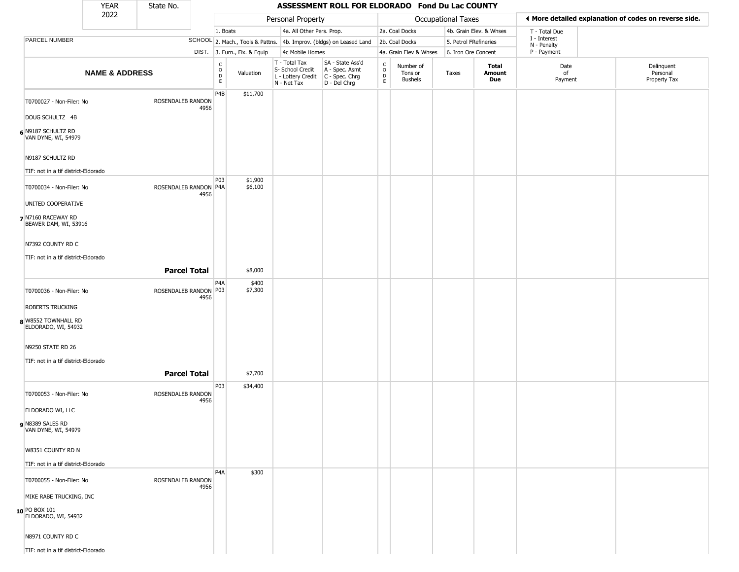|                                             | <b>YEAR</b>               | State No.               |      | ASSESSMENT ROLL FOR ELDORADO Fond Du Lac COUNTY  |                              |                                                                        |                                                                      |                                                                 |                                        |                       |                         |                             |                                                       |
|---------------------------------------------|---------------------------|-------------------------|------|--------------------------------------------------|------------------------------|------------------------------------------------------------------------|----------------------------------------------------------------------|-----------------------------------------------------------------|----------------------------------------|-----------------------|-------------------------|-----------------------------|-------------------------------------------------------|
|                                             | 2022                      |                         |      |                                                  |                              | Personal Property                                                      |                                                                      |                                                                 |                                        | Occupational Taxes    |                         |                             | ♦ More detailed explanation of codes on reverse side. |
|                                             |                           |                         |      | 1. Boats                                         |                              | 4a. All Other Pers. Prop.                                              |                                                                      |                                                                 | 2a. Coal Docks                         |                       | 4b. Grain Elev. & Whses | T - Total Due               |                                                       |
| PARCEL NUMBER                               |                           |                         |      |                                                  |                              |                                                                        | SCHOOL 2. Mach., Tools & Pattns. 4b. Improv. (bldgs) on Leased Land  |                                                                 | 2b. Coal Docks                         | 5. Petrol FRefineries |                         | I - Interest<br>N - Penalty |                                                       |
|                                             |                           |                         |      |                                                  | DIST. 3. Furn., Fix. & Equip | 4c Mobile Homes                                                        |                                                                      |                                                                 | 4a. Grain Elev & Whses                 | 6. Iron Ore Concent   |                         | P - Payment                 |                                                       |
|                                             | <b>NAME &amp; ADDRESS</b> |                         |      | $_{\rm o}^{\rm c}$<br>$\mathsf D$<br>$\mathsf E$ | Valuation                    | T - Total Tax<br>S- School Credit<br>L - Lottery Credit<br>N - Net Tax | SA - State Ass'd<br>A - Spec. Asmt<br>C - Spec. Chrg<br>D - Del Chrg | $_{\rm o}^{\rm c}$<br>$\mathop{\mathsf{E}}\limits_{\mathsf{E}}$ | Number of<br>Tons or<br><b>Bushels</b> | Taxes                 | Total<br>Amount<br>Due  | Date<br>of<br>Payment       | Delinquent<br>Personal<br>Property Tax                |
| T0700027 - Non-Filer: No<br>DOUG SCHULTZ 4B |                           | ROSENDALEB RANDON       | 4956 | P <sub>4</sub> B                                 | \$11,700                     |                                                                        |                                                                      |                                                                 |                                        |                       |                         |                             |                                                       |
| 6 N9187 SCHULTZ RD<br>VAN DYNE, WI, 54979   |                           |                         |      |                                                  |                              |                                                                        |                                                                      |                                                                 |                                        |                       |                         |                             |                                                       |
| N9187 SCHULTZ RD                            |                           |                         |      |                                                  |                              |                                                                        |                                                                      |                                                                 |                                        |                       |                         |                             |                                                       |
| TIF: not in a tif district-Eldorado         |                           |                         |      |                                                  |                              |                                                                        |                                                                      |                                                                 |                                        |                       |                         |                             |                                                       |
| T0700034 - Non-Filer: No                    |                           | ROSENDALEB RANDON P4A   | 4956 | P03                                              | \$1,900<br>\$6,100           |                                                                        |                                                                      |                                                                 |                                        |                       |                         |                             |                                                       |
| UNITED COOPERATIVE                          |                           |                         |      |                                                  |                              |                                                                        |                                                                      |                                                                 |                                        |                       |                         |                             |                                                       |
| 7 N7160 RACEWAY RD<br>BEAVER DAM, WI, 53916 |                           |                         |      |                                                  |                              |                                                                        |                                                                      |                                                                 |                                        |                       |                         |                             |                                                       |
| N7392 COUNTY RD C                           |                           |                         |      |                                                  |                              |                                                                        |                                                                      |                                                                 |                                        |                       |                         |                             |                                                       |
| TIF: not in a tif district-Eldorado         |                           |                         |      |                                                  |                              |                                                                        |                                                                      |                                                                 |                                        |                       |                         |                             |                                                       |
|                                             |                           | <b>Parcel Total</b>     |      |                                                  | \$8,000                      |                                                                        |                                                                      |                                                                 |                                        |                       |                         |                             |                                                       |
| T0700036 - Non-Filer: No                    |                           | ROSENDALEB RANDON   P03 | 4956 | P4A                                              | \$400<br>\$7,300             |                                                                        |                                                                      |                                                                 |                                        |                       |                         |                             |                                                       |
| <b>ROBERTS TRUCKING</b>                     |                           |                         |      |                                                  |                              |                                                                        |                                                                      |                                                                 |                                        |                       |                         |                             |                                                       |
| 8 W8552 TOWNHALL RD<br>ELDORADO, WI, 54932  |                           |                         |      |                                                  |                              |                                                                        |                                                                      |                                                                 |                                        |                       |                         |                             |                                                       |
| N9250 STATE RD 26                           |                           |                         |      |                                                  |                              |                                                                        |                                                                      |                                                                 |                                        |                       |                         |                             |                                                       |
| TIF: not in a tif district-Eldorado         |                           |                         |      |                                                  |                              |                                                                        |                                                                      |                                                                 |                                        |                       |                         |                             |                                                       |
|                                             |                           | <b>Parcel Total</b>     |      |                                                  | \$7,700                      |                                                                        |                                                                      |                                                                 |                                        |                       |                         |                             |                                                       |
|                                             |                           |                         |      | P03                                              | \$34,400                     |                                                                        |                                                                      |                                                                 |                                        |                       |                         |                             |                                                       |
| T0700053 - Non-Filer: No                    |                           | ROSENDALEB RANDON       | 4956 |                                                  |                              |                                                                        |                                                                      |                                                                 |                                        |                       |                         |                             |                                                       |
| ELDORADO WI, LLC                            |                           |                         |      |                                                  |                              |                                                                        |                                                                      |                                                                 |                                        |                       |                         |                             |                                                       |
| N8389 SALES RD<br>VAN DYNE, WI, 54979       |                           |                         |      |                                                  |                              |                                                                        |                                                                      |                                                                 |                                        |                       |                         |                             |                                                       |
| W8351 COUNTY RD N                           |                           |                         |      |                                                  |                              |                                                                        |                                                                      |                                                                 |                                        |                       |                         |                             |                                                       |
| TIF: not in a tif district-Eldorado         |                           |                         |      |                                                  |                              |                                                                        |                                                                      |                                                                 |                                        |                       |                         |                             |                                                       |
| T0700055 - Non-Filer: No                    |                           | ROSENDALEB RANDON       | 4956 | P <sub>4</sub> A                                 | \$300                        |                                                                        |                                                                      |                                                                 |                                        |                       |                         |                             |                                                       |
| MIKE RABE TRUCKING, INC                     |                           |                         |      |                                                  |                              |                                                                        |                                                                      |                                                                 |                                        |                       |                         |                             |                                                       |
| 10 PO BOX 101<br>ELDORADO, WI, 54932        |                           |                         |      |                                                  |                              |                                                                        |                                                                      |                                                                 |                                        |                       |                         |                             |                                                       |
| N8971 COUNTY RD C                           |                           |                         |      |                                                  |                              |                                                                        |                                                                      |                                                                 |                                        |                       |                         |                             |                                                       |
| TIF: not in a tif district-Eldorado         |                           |                         |      |                                                  |                              |                                                                        |                                                                      |                                                                 |                                        |                       |                         |                             |                                                       |

TIF: not in a tif district-Eldorado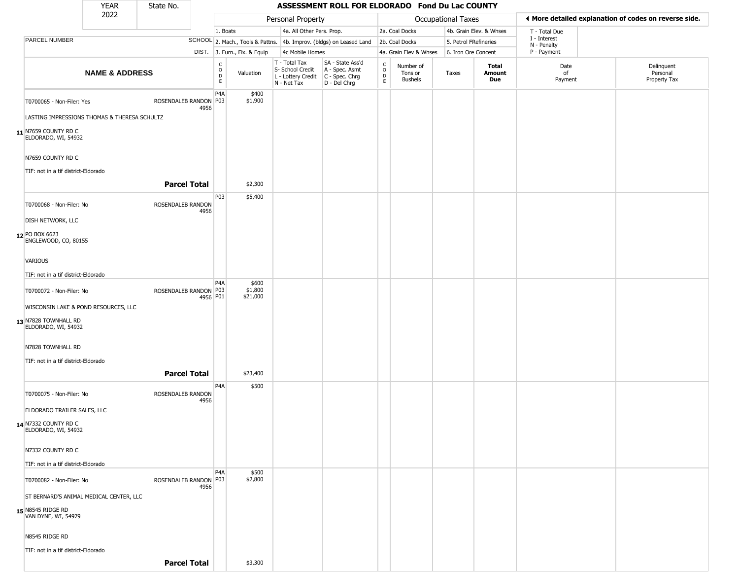|                                                          | <b>YEAR</b>                                  | State No.                     |                  |                              |                                                                        |                                                                      | ASSESSMENT ROLL FOR ELDORADO Fond Du Lac COUNTY |                                 |                       |                         |                                                       |                                        |  |
|----------------------------------------------------------|----------------------------------------------|-------------------------------|------------------|------------------------------|------------------------------------------------------------------------|----------------------------------------------------------------------|-------------------------------------------------|---------------------------------|-----------------------|-------------------------|-------------------------------------------------------|----------------------------------------|--|
|                                                          | 2022                                         |                               |                  |                              | Personal Property                                                      |                                                                      |                                                 |                                 | Occupational Taxes    |                         | ◀ More detailed explanation of codes on reverse side. |                                        |  |
|                                                          |                                              |                               | 1. Boats         |                              | 4a. All Other Pers. Prop.                                              |                                                                      |                                                 | 2a. Coal Docks                  |                       | 4b. Grain Elev. & Whses | T - Total Due                                         |                                        |  |
| PARCEL NUMBER                                            |                                              |                               |                  |                              |                                                                        | SCHOOL 2. Mach., Tools & Pattns. 4b. Improv. (bldgs) on Leased Land  |                                                 | 2b. Coal Docks                  | 5. Petrol FRefineries |                         | I - Interest<br>N - Penalty                           |                                        |  |
|                                                          |                                              |                               |                  | DIST. 3. Furn., Fix. & Equip |                                                                        | 4c Mobile Homes                                                      |                                                 | 4a. Grain Elev & Whses          | 6. Iron Ore Concent   |                         | P - Payment                                           |                                        |  |
|                                                          | <b>NAME &amp; ADDRESS</b>                    |                               |                  |                              | T - Total Tax<br>S- School Credit<br>L - Lottery Credit<br>N - Net Tax | SA - State Ass'd<br>A - Spec. Asmt<br>C - Spec. Chrg<br>D - Del Chrg | $\begin{array}{c}\nC \\ O \\ E\n\end{array}$    | Number of<br>Tons or<br>Bushels | Taxes                 | Total<br>Amount<br>Due  | Date<br>of<br>Payment                                 | Delinquent<br>Personal<br>Property Tax |  |
| T0700065 - Non-Filer: Yes                                |                                              | ROSENDALEB RANDON P03<br>4956 | P <sub>4</sub> A | \$400<br>\$1,900             |                                                                        |                                                                      |                                                 |                                 |                       |                         |                                                       |                                        |  |
|                                                          | LASTING IMPRESSIONS THOMAS & THERESA SCHULTZ |                               |                  |                              |                                                                        |                                                                      |                                                 |                                 |                       |                         |                                                       |                                        |  |
| $11$ N7659 COUNTY RD C<br>ELDORADO, WI, 54932            |                                              |                               |                  |                              |                                                                        |                                                                      |                                                 |                                 |                       |                         |                                                       |                                        |  |
| N7659 COUNTY RD C<br>TIF: not in a tif district-Eldorado |                                              |                               |                  |                              |                                                                        |                                                                      |                                                 |                                 |                       |                         |                                                       |                                        |  |
|                                                          |                                              | <b>Parcel Total</b>           |                  | \$2,300                      |                                                                        |                                                                      |                                                 |                                 |                       |                         |                                                       |                                        |  |
|                                                          |                                              |                               | P03              |                              |                                                                        |                                                                      |                                                 |                                 |                       |                         |                                                       |                                        |  |
| T0700068 - Non-Filer: No                                 |                                              | ROSENDALEB RANDON<br>4956     |                  | \$5,400                      |                                                                        |                                                                      |                                                 |                                 |                       |                         |                                                       |                                        |  |
| <b>DISH NETWORK, LLC</b>                                 |                                              |                               |                  |                              |                                                                        |                                                                      |                                                 |                                 |                       |                         |                                                       |                                        |  |
| 12 PO BOX 6623<br>ENGLEWOOD, CO, 80155                   |                                              |                               |                  |                              |                                                                        |                                                                      |                                                 |                                 |                       |                         |                                                       |                                        |  |
| <b>VARIOUS</b>                                           |                                              |                               |                  |                              |                                                                        |                                                                      |                                                 |                                 |                       |                         |                                                       |                                        |  |
| TIF: not in a tif district-Eldorado                      |                                              |                               |                  |                              |                                                                        |                                                                      |                                                 |                                 |                       |                         |                                                       |                                        |  |
|                                                          |                                              |                               | P4A              | \$600                        |                                                                        |                                                                      |                                                 |                                 |                       |                         |                                                       |                                        |  |
| T0700072 - Non-Filer: No                                 |                                              | ROSENDALEB RANDON   P03       | 4956 P01         | \$1,800<br>\$21,000          |                                                                        |                                                                      |                                                 |                                 |                       |                         |                                                       |                                        |  |
|                                                          | WISCONSIN LAKE & POND RESOURCES, LLC         |                               |                  |                              |                                                                        |                                                                      |                                                 |                                 |                       |                         |                                                       |                                        |  |
| 13 N7828 TOWNHALL RD<br>ELDORADO, WI, 54932              |                                              |                               |                  |                              |                                                                        |                                                                      |                                                 |                                 |                       |                         |                                                       |                                        |  |
| N7828 TOWNHALL RD                                        |                                              |                               |                  |                              |                                                                        |                                                                      |                                                 |                                 |                       |                         |                                                       |                                        |  |
| TIF: not in a tif district-Eldorado                      |                                              |                               |                  |                              |                                                                        |                                                                      |                                                 |                                 |                       |                         |                                                       |                                        |  |
|                                                          |                                              | <b>Parcel Total</b>           |                  | \$23,400                     |                                                                        |                                                                      |                                                 |                                 |                       |                         |                                                       |                                        |  |
| T0700075 - Non-Filer: No                                 |                                              | ROSENDALEB RANDON             | P <sub>4</sub> A | \$500                        |                                                                        |                                                                      |                                                 |                                 |                       |                         |                                                       |                                        |  |
| ELDORADO TRAILER SALES, LLC                              |                                              | 4956                          |                  |                              |                                                                        |                                                                      |                                                 |                                 |                       |                         |                                                       |                                        |  |
| 14 N7332 COUNTY RD C<br>ELDORADO, WI, 54932              |                                              |                               |                  |                              |                                                                        |                                                                      |                                                 |                                 |                       |                         |                                                       |                                        |  |
| N7332 COUNTY RD C                                        |                                              |                               |                  |                              |                                                                        |                                                                      |                                                 |                                 |                       |                         |                                                       |                                        |  |
| TIF: not in a tif district-Eldorado                      |                                              |                               |                  |                              |                                                                        |                                                                      |                                                 |                                 |                       |                         |                                                       |                                        |  |
| T0700082 - Non-Filer: No                                 |                                              | ROSENDALEB RANDON P03<br>4956 | P <sub>4</sub> A | \$500<br>\$2,800             |                                                                        |                                                                      |                                                 |                                 |                       |                         |                                                       |                                        |  |
|                                                          | ST BERNARD'S ANIMAL MEDICAL CENTER, LLC      |                               |                  |                              |                                                                        |                                                                      |                                                 |                                 |                       |                         |                                                       |                                        |  |
| 15 N8545 RIDGE RD<br>VAN DYNE, WI, 54979                 |                                              |                               |                  |                              |                                                                        |                                                                      |                                                 |                                 |                       |                         |                                                       |                                        |  |
| N8545 RIDGE RD                                           |                                              |                               |                  |                              |                                                                        |                                                                      |                                                 |                                 |                       |                         |                                                       |                                        |  |
| TIF: not in a tif district-Eldorado                      |                                              |                               |                  |                              |                                                                        |                                                                      |                                                 |                                 |                       |                         |                                                       |                                        |  |
|                                                          |                                              | <b>Parcel Total</b>           |                  | \$3,300                      |                                                                        |                                                                      |                                                 |                                 |                       |                         |                                                       |                                        |  |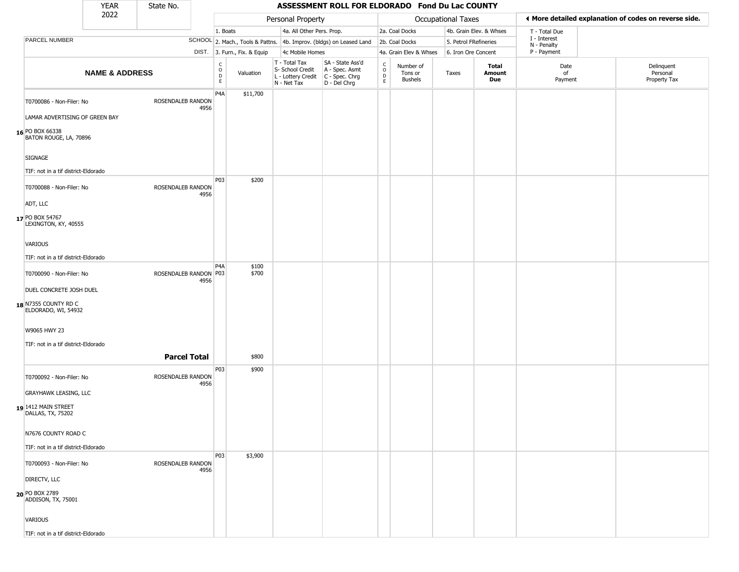|                                             | <b>YEAR</b>               | State No.                |                              | ASSESSMENT ROLL FOR ELDORADO Fond Du Lac COUNTY                     |                |                                                                        |                                                                      |                                   |                                        |                       |                         |                             |  |                                                       |
|---------------------------------------------|---------------------------|--------------------------|------------------------------|---------------------------------------------------------------------|----------------|------------------------------------------------------------------------|----------------------------------------------------------------------|-----------------------------------|----------------------------------------|-----------------------|-------------------------|-----------------------------|--|-------------------------------------------------------|
|                                             | 2022                      |                          |                              |                                                                     |                | Personal Property                                                      |                                                                      |                                   |                                        | Occupational Taxes    |                         |                             |  | ♦ More detailed explanation of codes on reverse side. |
|                                             |                           |                          |                              | 1. Boats                                                            |                | 4a. All Other Pers. Prop.                                              |                                                                      |                                   | 2a. Coal Docks                         |                       | 4b. Grain Elev. & Whses | T - Total Due               |  |                                                       |
| PARCEL NUMBER                               |                           |                          |                              | SCHOOL 2. Mach., Tools & Pattns. 4b. Improv. (bldgs) on Leased Land |                |                                                                        |                                                                      |                                   | 2b. Coal Docks                         | 5. Petrol FRefineries |                         | I - Interest<br>N - Penalty |  |                                                       |
|                                             |                           |                          | DIST. 3. Furn., Fix. & Equip | 4c Mobile Homes                                                     |                |                                                                        | 4a. Grain Elev & Whses                                               | 6. Iron Ore Concent               |                                        | P - Payment           |                         |                             |  |                                                       |
|                                             | <b>NAME &amp; ADDRESS</b> |                          |                              | $\frac{c}{0}$<br>$\mathsf{D}$<br>$\mathsf E$                        | Valuation      | T - Total Tax<br>S- School Credit<br>L - Lottery Credit<br>N - Net Tax | SA - State Ass'd<br>A - Spec. Asmt<br>C - Spec. Chrg<br>D - Del Chrg | $\frac{c}{0}$<br>$\mathsf D$<br>E | Number of<br>Tons or<br><b>Bushels</b> | Taxes                 | Total<br>Amount<br>Due  | Date<br>of<br>Payment       |  | Delinquent<br>Personal<br>Property Tax                |
| T0700086 - Non-Filer: No                    |                           | <b>ROSENDALEB RANDON</b> | 4956                         | P4A                                                                 | \$11,700       |                                                                        |                                                                      |                                   |                                        |                       |                         |                             |  |                                                       |
| LAMAR ADVERTISING OF GREEN BAY              |                           |                          |                              |                                                                     |                |                                                                        |                                                                      |                                   |                                        |                       |                         |                             |  |                                                       |
| 16 PO BOX 66338<br>BATON ROUGE, LA, 70896   |                           |                          |                              |                                                                     |                |                                                                        |                                                                      |                                   |                                        |                       |                         |                             |  |                                                       |
| SIGNAGE                                     |                           |                          |                              |                                                                     |                |                                                                        |                                                                      |                                   |                                        |                       |                         |                             |  |                                                       |
| TIF: not in a tif district-Eldorado         |                           |                          |                              |                                                                     |                |                                                                        |                                                                      |                                   |                                        |                       |                         |                             |  |                                                       |
| T0700088 - Non-Filer: No                    |                           | ROSENDALEB RANDON        | 4956                         | P03                                                                 | \$200          |                                                                        |                                                                      |                                   |                                        |                       |                         |                             |  |                                                       |
| ADT, LLC                                    |                           |                          |                              |                                                                     |                |                                                                        |                                                                      |                                   |                                        |                       |                         |                             |  |                                                       |
| 17 PO BOX 54767<br>LEXINGTON, KY, 40555     |                           |                          |                              |                                                                     |                |                                                                        |                                                                      |                                   |                                        |                       |                         |                             |  |                                                       |
| VARIOUS                                     |                           |                          |                              |                                                                     |                |                                                                        |                                                                      |                                   |                                        |                       |                         |                             |  |                                                       |
| TIF: not in a tif district-Eldorado         |                           |                          |                              |                                                                     |                |                                                                        |                                                                      |                                   |                                        |                       |                         |                             |  |                                                       |
| T0700090 - Non-Filer: No                    |                           | ROSENDALEB RANDON P03    | 4956                         | P4A                                                                 | \$100<br>\$700 |                                                                        |                                                                      |                                   |                                        |                       |                         |                             |  |                                                       |
| DUEL CONCRETE JOSH DUEL                     |                           |                          |                              |                                                                     |                |                                                                        |                                                                      |                                   |                                        |                       |                         |                             |  |                                                       |
| 18 N7355 COUNTY RD C<br>ELDORADO, WI, 54932 |                           |                          |                              |                                                                     |                |                                                                        |                                                                      |                                   |                                        |                       |                         |                             |  |                                                       |
| W9065 HWY 23                                |                           |                          |                              |                                                                     |                |                                                                        |                                                                      |                                   |                                        |                       |                         |                             |  |                                                       |
| TIF: not in a tif district-Eldorado         |                           |                          |                              |                                                                     |                |                                                                        |                                                                      |                                   |                                        |                       |                         |                             |  |                                                       |
|                                             |                           | <b>Parcel Total</b>      |                              |                                                                     | \$800          |                                                                        |                                                                      |                                   |                                        |                       |                         |                             |  |                                                       |
| T0700092 - Non-Filer: No                    |                           | ROSENDALEB RANDON        | 4956                         | P03                                                                 | \$900          |                                                                        |                                                                      |                                   |                                        |                       |                         |                             |  |                                                       |
| <b>GRAYHAWK LEASING, LLC</b>                |                           |                          |                              |                                                                     |                |                                                                        |                                                                      |                                   |                                        |                       |                         |                             |  |                                                       |
| 19 1412 MAIN STREET<br>DALLAS, TX, 75202    |                           |                          |                              |                                                                     |                |                                                                        |                                                                      |                                   |                                        |                       |                         |                             |  |                                                       |
| N7676 COUNTY ROAD C                         |                           |                          |                              |                                                                     |                |                                                                        |                                                                      |                                   |                                        |                       |                         |                             |  |                                                       |
| TIF: not in a tif district-Eldorado         |                           |                          |                              |                                                                     |                |                                                                        |                                                                      |                                   |                                        |                       |                         |                             |  |                                                       |
| T0700093 - Non-Filer: No                    |                           | ROSENDALEB RANDON        | 4956                         | P03                                                                 | \$3,900        |                                                                        |                                                                      |                                   |                                        |                       |                         |                             |  |                                                       |
| DIRECTV, LLC                                |                           |                          |                              |                                                                     |                |                                                                        |                                                                      |                                   |                                        |                       |                         |                             |  |                                                       |
| 20 PO BOX 2789<br>ADDISON, TX, 75001        |                           |                          |                              |                                                                     |                |                                                                        |                                                                      |                                   |                                        |                       |                         |                             |  |                                                       |
| VARIOUS                                     |                           |                          |                              |                                                                     |                |                                                                        |                                                                      |                                   |                                        |                       |                         |                             |  |                                                       |
| TIF: not in a tif district-Eldorado         |                           |                          |                              |                                                                     |                |                                                                        |                                                                      |                                   |                                        |                       |                         |                             |  |                                                       |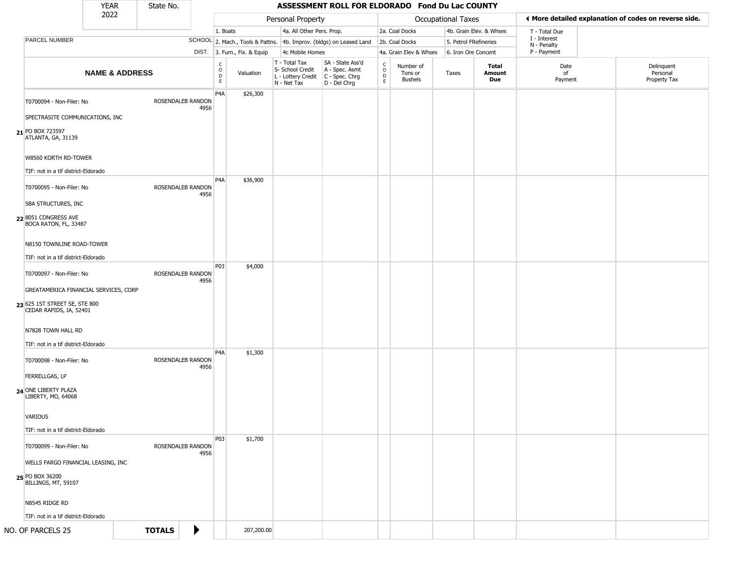|                                                                              | <b>YEAR</b>               |  | State No.         |                       |                                   |                              |                                                                        |                                                                        | ASSESSMENT ROLL FOR ELDORADO Fond Du Lac COUNTY |                                        |                     |                             |                       |                                                       |  |
|------------------------------------------------------------------------------|---------------------------|--|-------------------|-----------------------|-----------------------------------|------------------------------|------------------------------------------------------------------------|------------------------------------------------------------------------|-------------------------------------------------|----------------------------------------|---------------------|-----------------------------|-----------------------|-------------------------------------------------------|--|
|                                                                              | 2022                      |  |                   |                       |                                   |                              | Personal Property                                                      |                                                                        |                                                 |                                        | Occupational Taxes  |                             |                       | ◀ More detailed explanation of codes on reverse side. |  |
|                                                                              |                           |  |                   |                       | 1. Boats                          |                              | 4a. All Other Pers. Prop.                                              |                                                                        |                                                 | 2a. Coal Docks                         |                     | 4b. Grain Elev. & Whses     | T - Total Due         |                                                       |  |
| PARCEL NUMBER                                                                |                           |  |                   |                       |                                   |                              | SCHOOL 2. Mach., Tools & Pattns. 4b. Improv. (bldgs) on Leased Land    |                                                                        | 2b. Coal Docks                                  | 5. Petrol FRefineries                  |                     | I - Interest<br>N - Penalty |                       |                                                       |  |
|                                                                              |                           |  |                   |                       |                                   | DIST. 3. Furn., Fix. & Equip | 4c Mobile Homes                                                        |                                                                        |                                                 | 4a. Grain Elev & Whses                 | 6. Iron Ore Concent |                             | P - Payment           |                                                       |  |
|                                                                              | <b>NAME &amp; ADDRESS</b> |  |                   |                       | $\frac{c}{0}$<br>D<br>$\mathsf E$ | Valuation                    | T - Total Tax<br>S- School Credit<br>L - Lottery Credit<br>N - Net Tax | SA - State Ass'd<br>A - Spec. Asmt<br>$C - Spec. Chrg$<br>D - Del Chrg | C<br>$\circ$<br>$\mathsf D$<br>$\mathsf E$      | Number of<br>Tons or<br><b>Bushels</b> | Taxes               | Total<br>Amount<br>Due      | Date<br>of<br>Payment | Delinquent<br>Personal<br>Property Tax                |  |
| T0700094 - Non-Filer: No                                                     |                           |  | ROSENDALEB RANDON | 4956                  | P <sub>4</sub> A                  | \$26,300                     |                                                                        |                                                                        |                                                 |                                        |                     |                             |                       |                                                       |  |
| SPECTRASITE COMMUNICATIONS, INC                                              |                           |  |                   |                       |                                   |                              |                                                                        |                                                                        |                                                 |                                        |                     |                             |                       |                                                       |  |
| 21 PO BOX 723597<br>ATLANTA, GA, 31139                                       |                           |  |                   |                       |                                   |                              |                                                                        |                                                                        |                                                 |                                        |                     |                             |                       |                                                       |  |
| W8560 KORTH RD-TOWER                                                         |                           |  |                   |                       |                                   |                              |                                                                        |                                                                        |                                                 |                                        |                     |                             |                       |                                                       |  |
| TIF: not in a tif district-Eldorado                                          |                           |  |                   |                       | P <sub>4</sub> A                  | \$36,900                     |                                                                        |                                                                        |                                                 |                                        |                     |                             |                       |                                                       |  |
| T0700095 - Non-Filer: No                                                     |                           |  | ROSENDALEB RANDON |                       |                                   |                              |                                                                        |                                                                        |                                                 |                                        |                     |                             |                       |                                                       |  |
| SBA STRUCTURES, INC                                                          |                           |  |                   | 4956                  |                                   |                              |                                                                        |                                                                        |                                                 |                                        |                     |                             |                       |                                                       |  |
|                                                                              |                           |  |                   |                       |                                   |                              |                                                                        |                                                                        |                                                 |                                        |                     |                             |                       |                                                       |  |
| 22 8051 CONGRESS AVE<br>BOCA RATON, FL, 33487                                |                           |  |                   |                       |                                   |                              |                                                                        |                                                                        |                                                 |                                        |                     |                             |                       |                                                       |  |
| N8150 TOWNLINE ROAD-TOWER                                                    |                           |  |                   |                       |                                   |                              |                                                                        |                                                                        |                                                 |                                        |                     |                             |                       |                                                       |  |
| TIF: not in a tif district-Eldorado                                          |                           |  |                   |                       |                                   |                              |                                                                        |                                                                        |                                                 |                                        |                     |                             |                       |                                                       |  |
| T0700097 - Non-Filer: No                                                     |                           |  | ROSENDALEB RANDON | 4956                  | P03                               | \$4,000                      |                                                                        |                                                                        |                                                 |                                        |                     |                             |                       |                                                       |  |
| GREATAMERICA FINANCIAL SERVICES, CORP                                        |                           |  |                   |                       |                                   |                              |                                                                        |                                                                        |                                                 |                                        |                     |                             |                       |                                                       |  |
| 23 625 1ST STREET SE, STE 800<br>CEDAR RAPIDS, IA, 52401                     |                           |  |                   |                       |                                   |                              |                                                                        |                                                                        |                                                 |                                        |                     |                             |                       |                                                       |  |
| N7828 TOWN HALL RD                                                           |                           |  |                   |                       |                                   |                              |                                                                        |                                                                        |                                                 |                                        |                     |                             |                       |                                                       |  |
| TIF: not in a tif district-Eldorado                                          |                           |  |                   |                       |                                   |                              |                                                                        |                                                                        |                                                 |                                        |                     |                             |                       |                                                       |  |
| T0700098 - Non-Filer: No                                                     |                           |  | ROSENDALEB RANDON | 4956                  | P <sub>4</sub> A                  | \$1,300                      |                                                                        |                                                                        |                                                 |                                        |                     |                             |                       |                                                       |  |
| <b>FERRELLGAS, LP</b>                                                        |                           |  |                   |                       |                                   |                              |                                                                        |                                                                        |                                                 |                                        |                     |                             |                       |                                                       |  |
| 24 ONE LIBERTY PLAZA<br>LIBERTY, MO, 64068                                   |                           |  |                   |                       |                                   |                              |                                                                        |                                                                        |                                                 |                                        |                     |                             |                       |                                                       |  |
| VARIOUS                                                                      |                           |  |                   |                       |                                   |                              |                                                                        |                                                                        |                                                 |                                        |                     |                             |                       |                                                       |  |
| TIF: not in a tif district-Eldorado                                          |                           |  |                   |                       |                                   |                              |                                                                        |                                                                        |                                                 |                                        |                     |                             |                       |                                                       |  |
| T0700099 - Non-Filer: No                                                     |                           |  | ROSENDALEB RANDON |                       | <b>P03</b>                        | \$1,700                      |                                                                        |                                                                        |                                                 |                                        |                     |                             |                       |                                                       |  |
|                                                                              |                           |  |                   | 4956                  |                                   |                              |                                                                        |                                                                        |                                                 |                                        |                     |                             |                       |                                                       |  |
| WELLS FARGO FINANCIAL LEASING, INC<br>25 PO BOX 36200<br>BILLINGS, MT, 59107 |                           |  |                   |                       |                                   |                              |                                                                        |                                                                        |                                                 |                                        |                     |                             |                       |                                                       |  |
| N8545 RIDGE RD                                                               |                           |  |                   |                       |                                   |                              |                                                                        |                                                                        |                                                 |                                        |                     |                             |                       |                                                       |  |
| TIF: not in a tif district-Eldorado                                          |                           |  |                   |                       |                                   |                              |                                                                        |                                                                        |                                                 |                                        |                     |                             |                       |                                                       |  |
|                                                                              |                           |  |                   |                       |                                   |                              |                                                                        |                                                                        |                                                 |                                        |                     |                             |                       |                                                       |  |
| NO. OF PARCELS 25                                                            |                           |  | <b>TOTALS</b>     | $\blacktriangleright$ |                                   | 207,200.00                   |                                                                        |                                                                        |                                                 |                                        |                     |                             |                       |                                                       |  |